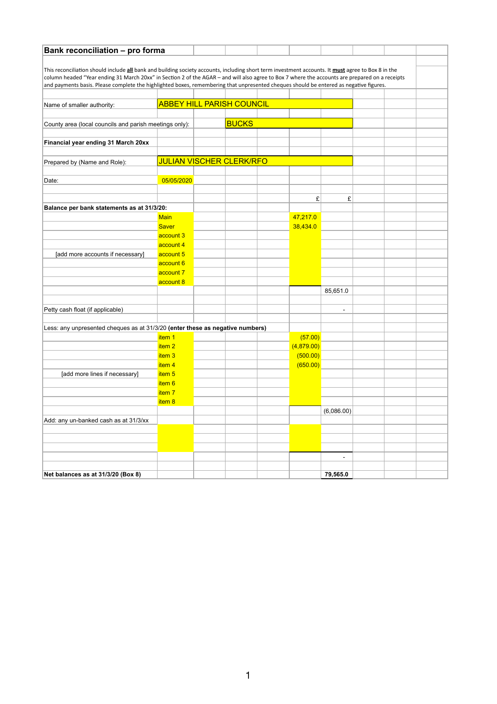| <b>Bank reconciliation - pro forma</b>                                                                                                             |                                  |                                 |              |  |            |                          |  |  |
|----------------------------------------------------------------------------------------------------------------------------------------------------|----------------------------------|---------------------------------|--------------|--|------------|--------------------------|--|--|
|                                                                                                                                                    |                                  |                                 |              |  |            |                          |  |  |
| This reconciliation should include all bank and building society accounts, including short term investment accounts. It must agree to Box 8 in the |                                  |                                 |              |  |            |                          |  |  |
| column headed "Year ending 31 March 20xx" in Section 2 of the AGAR - and will also agree to Box 7 where the accounts are prepared on a receipts    |                                  |                                 |              |  |            |                          |  |  |
| and payments basis. Please complete the highlighted boxes, remembering that unpresented cheques should be entered as negative figures.             |                                  |                                 |              |  |            |                          |  |  |
|                                                                                                                                                    |                                  |                                 |              |  |            |                          |  |  |
| Name of smaller authority:                                                                                                                         | <b>ABBEY HILL PARISH COUNCIL</b> |                                 |              |  |            |                          |  |  |
|                                                                                                                                                    |                                  |                                 | <b>BUCKS</b> |  |            |                          |  |  |
| County area (local councils and parish meetings only):                                                                                             |                                  |                                 |              |  |            |                          |  |  |
| Financial year ending 31 March 20xx                                                                                                                |                                  |                                 |              |  |            |                          |  |  |
|                                                                                                                                                    |                                  |                                 |              |  |            |                          |  |  |
| Prepared by (Name and Role):                                                                                                                       |                                  | <b>JULIAN VISCHER CLERK/RFO</b> |              |  |            |                          |  |  |
|                                                                                                                                                    |                                  |                                 |              |  |            |                          |  |  |
| Date:                                                                                                                                              | 05/05/2020                       |                                 |              |  |            |                          |  |  |
|                                                                                                                                                    |                                  |                                 |              |  |            |                          |  |  |
|                                                                                                                                                    |                                  |                                 |              |  | £          | £                        |  |  |
| Balance per bank statements as at 31/3/20:                                                                                                         |                                  |                                 |              |  |            |                          |  |  |
|                                                                                                                                                    | <b>Main</b>                      |                                 |              |  | 47,217.0   |                          |  |  |
|                                                                                                                                                    | <b>Saver</b>                     |                                 |              |  | 38,434.0   |                          |  |  |
|                                                                                                                                                    | account 3                        |                                 |              |  |            |                          |  |  |
|                                                                                                                                                    | account 4                        |                                 |              |  |            |                          |  |  |
| [add more accounts if necessary]                                                                                                                   | account 5                        |                                 |              |  |            |                          |  |  |
|                                                                                                                                                    | account 6                        |                                 |              |  |            |                          |  |  |
|                                                                                                                                                    | account 7                        |                                 |              |  |            |                          |  |  |
|                                                                                                                                                    | account 8                        |                                 |              |  |            |                          |  |  |
|                                                                                                                                                    |                                  |                                 |              |  |            | 85,651.0                 |  |  |
|                                                                                                                                                    |                                  |                                 |              |  |            |                          |  |  |
| Petty cash float (if applicable)                                                                                                                   |                                  |                                 |              |  |            | $\overline{\phantom{a}}$ |  |  |
| Less: any unpresented cheques as at 31/3/20 (enter these as negative numbers)                                                                      |                                  |                                 |              |  |            |                          |  |  |
|                                                                                                                                                    | item 1                           |                                 |              |  | (57.00)    |                          |  |  |
|                                                                                                                                                    | item <sub>2</sub>                |                                 |              |  | (4,879.00) |                          |  |  |
|                                                                                                                                                    | item <sub>3</sub>                |                                 |              |  | (500.00)   |                          |  |  |
|                                                                                                                                                    | item <sub>4</sub>                |                                 |              |  | (650.00)   |                          |  |  |
| [add more lines if necessary]                                                                                                                      | item <sub>5</sub>                |                                 |              |  |            |                          |  |  |
|                                                                                                                                                    | item <sub>6</sub>                |                                 |              |  |            |                          |  |  |
|                                                                                                                                                    | item <sub>7</sub>                |                                 |              |  |            |                          |  |  |
|                                                                                                                                                    | item 8                           |                                 |              |  |            |                          |  |  |
|                                                                                                                                                    |                                  |                                 |              |  |            | (6,086.00)               |  |  |
| Add: any un-banked cash as at 31/3/xx                                                                                                              |                                  |                                 |              |  |            |                          |  |  |
|                                                                                                                                                    |                                  |                                 |              |  |            |                          |  |  |
|                                                                                                                                                    |                                  |                                 |              |  |            |                          |  |  |
|                                                                                                                                                    |                                  |                                 |              |  |            |                          |  |  |
|                                                                                                                                                    |                                  |                                 |              |  |            | $\overline{\phantom{a}}$ |  |  |
| Net balances as at 31/3/20 (Box 8)                                                                                                                 |                                  |                                 |              |  |            | 79,565.0                 |  |  |
|                                                                                                                                                    |                                  |                                 |              |  |            |                          |  |  |

1